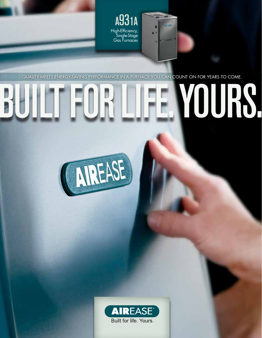

quality meets energy-saving performance in a furnace you can count on for years to come.

# FOR LIFE. YOURS



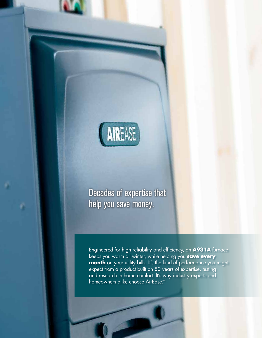

# Decades of expertise that help you save money.

Engineered for high reliability and efficiency, an **A931A** furnace keeps you warm all winter, while helping you **save every month** on your utility bills. It's the kind of performance you might expect from a product built on 80 years of expertise, testing and research in home comfort. It's why industry experts and homeowners alike choose AirEase.™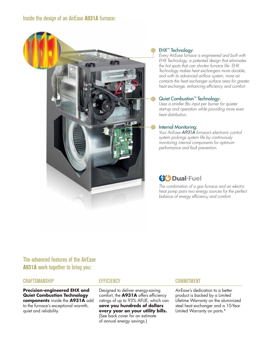### Inside the design of an AirEase **A931A** furnace:



### EHX™ Technology:

*Every AirEase furnace is engineered and built with EHX Technology, a patented design that eliminates the hot spots that can shorten furnace life. EHX Technology makes heat exchangers more durable, and with its advanced airflow system, more air contacts the heat exchanger surface area for greater heat exchange, enhancing efficiency and comfort.* 

### Quiet Combustion™ Technology:

*Uses a smaller Btu input per burner for quieter start-up and operation while providing more even heat distribution.*

### Internal Monitoring:

*Your AirEase A931A furnace's electronic control system prolongs system life by continuously monitoring internal components for optimum performance and fault prevention.*

# **(X)** Dual-Fuel

*The combination of a gas furnace and an electric heat pump pairs two energy sources for the perfect balance of energy efficiency and comfort.*

# The advanced features of the AirEase **A931A** work together to bring you:

### **CRAFTSMANSHIP**

**Precision-engineered EHX and Quiet Combustion Technology components** inside the **A931A** add to the furnace's exceptional warmth, quiet and reliability.

### **EFFICIENCY**

Designed to deliver energy-saving comfort, the **A931A** offers efficiency ratings of up to 93% AFUE, which can **save you hundreds of dollars every year on your utility bills.** (See back cover for an estimate of annual energy savings.)

### COMMITMENT

AirEase's dedication to a better product is backed by a Limited Lifetime Warranty on the aluminized steel heat exchanger and a 10-Year Limited Warranty on parts.\*